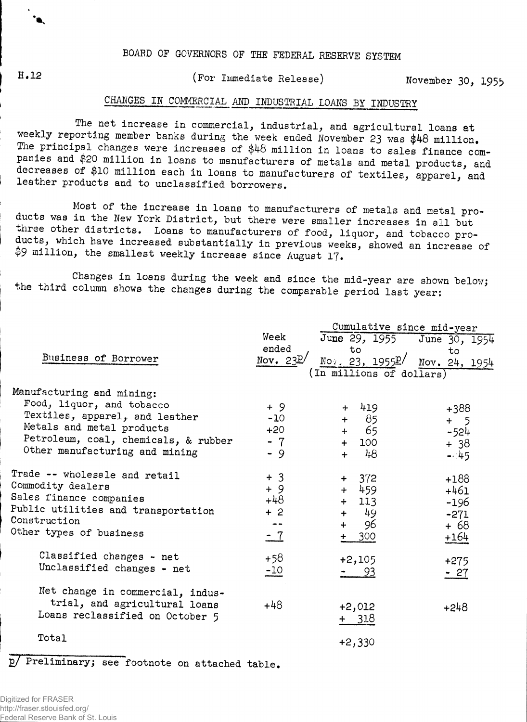$^{\bullet}$  **K** 

## **11,1 <sup>2</sup> (For Immediate Release) November 30, 195\$,**

## **CHANGES IN COMMERCIAL AND INDUSTRIAL LOANS BY INDUSTRY**

**The net increase in commercial, industrial, and agricultural loans at weekly reporting member banks during the week ended November 23 was \$48 million. The principal changes were increases of \$48 million in loans to sales finance companies and \$20 million in loans to manufacturers of metals and metal products, and decreases of \$10 million each in loans to manufacturers of textiles, apparel, and** leather products and to unclassified borrowers.

**Most of the increase in loans to manufacturers of metals and metal products was in the New York District, but there were smaller increases in all but three other districts. Loans to manufacturers of food, liquor, and tobacco produe us, which have increased substantially in previous weeks, showed an increase of tp9 million, the smallest weekly increase since August 17\***

**Changes in loans during the week and since the mid-year are shown below; ..he third column shows the changes during the comparable period last year:**

|                                      | Cumulative since mid-year |                                                       |               |  |  |  |  |  |  |  |
|--------------------------------------|---------------------------|-------------------------------------------------------|---------------|--|--|--|--|--|--|--|
|                                      | Week                      | June 29, 1955 June 30, 1954                           |               |  |  |  |  |  |  |  |
|                                      | ended                     | to                                                    | to            |  |  |  |  |  |  |  |
| Business of Borrower                 | Nov. $23E/$               | $\frac{\text{No}}{2}$ . 23, 1955 $\frac{\text{p}}{2}$ | Nov. 24, 1954 |  |  |  |  |  |  |  |
|                                      | (In millions of dollars)  |                                                       |               |  |  |  |  |  |  |  |
| Manufacturing and mining:            |                           |                                                       |               |  |  |  |  |  |  |  |
| Food, liquor, and tobacco            | + 9                       | 419<br>$+$                                            |               |  |  |  |  |  |  |  |
| Textiles, apparel, and leather       | $-10$                     | 85<br>$+$                                             | +388          |  |  |  |  |  |  |  |
| Metals and metal products            | $+20$                     | - 65<br>$+$                                           | $+$<br>5      |  |  |  |  |  |  |  |
| Petroleum, coal, chemicals, & rubber | $-7$                      | 100<br>$+$                                            | $-524$        |  |  |  |  |  |  |  |
| Other manufacturing and mining       | $-9$                      | $+ 48$                                                | $+38$         |  |  |  |  |  |  |  |
|                                      |                           |                                                       | $-.45$        |  |  |  |  |  |  |  |
| Trade -- wholesale and retail        | $+3$                      | $+ 372$                                               | $+188$        |  |  |  |  |  |  |  |
| Commodity dealers                    | $+9$                      | 459<br>$+$                                            | $+461$        |  |  |  |  |  |  |  |
| Sales finance companies              | $+48$                     | 113<br>$+$                                            | $-196$        |  |  |  |  |  |  |  |
| Public utilities and transportation  | $+2$                      | 49<br>$+$                                             | $-271$        |  |  |  |  |  |  |  |
| Construction                         |                           | 96<br>$+$                                             | + 68          |  |  |  |  |  |  |  |
| Other types of business              | $-7$                      | 300                                                   | $+164$        |  |  |  |  |  |  |  |
|                                      |                           |                                                       |               |  |  |  |  |  |  |  |
| Classified changes - net             | $+58$                     | $+2,105$                                              | $+275$        |  |  |  |  |  |  |  |
| Unclassified changes - net           | $-10$                     | - 93                                                  | $-27$         |  |  |  |  |  |  |  |
|                                      |                           |                                                       |               |  |  |  |  |  |  |  |
| Net change in commercial, indus-     |                           |                                                       |               |  |  |  |  |  |  |  |
| trial, and agricultural loans        | +48                       | $+2,012$                                              | $+248$        |  |  |  |  |  |  |  |
| Loans reclassified on October 5      |                           | + 318                                                 |               |  |  |  |  |  |  |  |
|                                      |                           |                                                       |               |  |  |  |  |  |  |  |
| Total                                |                           | $+2,330$                                              |               |  |  |  |  |  |  |  |
|                                      |                           |                                                       |               |  |  |  |  |  |  |  |

**£/ Preliminary; see footnote on attached table.**